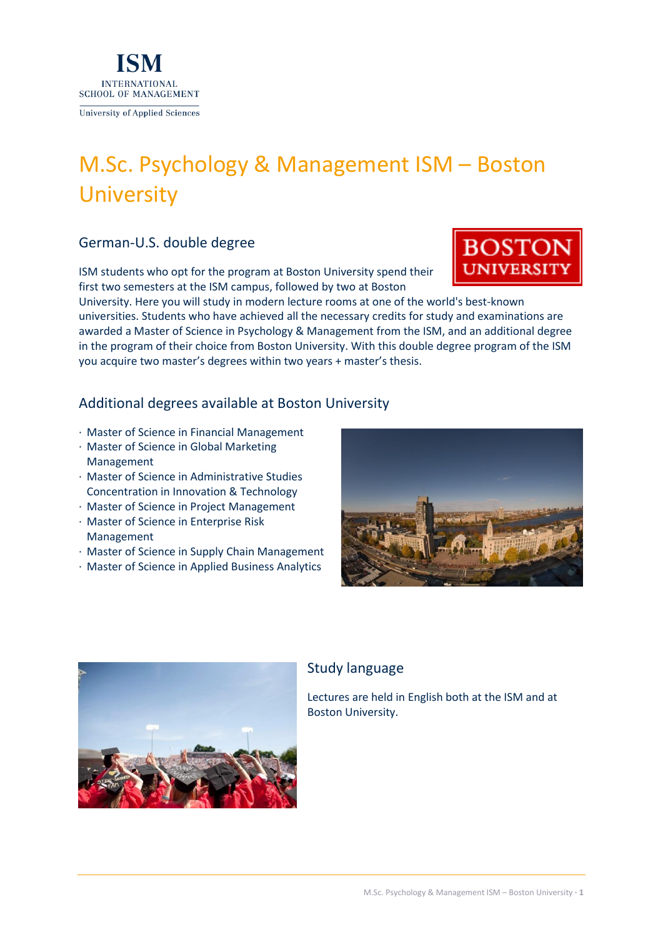

# M.Sc. Psychology & Management ISM – Boston **University**

# German-U.S. double degree

ISM students who opt for the program at Boston University spend their first two semesters at the ISM campus, followed by two at Boston

University. Here you will study in modern lecture rooms at one of the world's best-known universities. Students who have achieved all the necessary credits for study and examinations are awarded a Master of Science in Psychology & Management from the ISM, and an additional degree in the program of their choice from Boston University. With this double degree program of the ISM

Additional degrees available at Boston University

you acquire two master's degrees within two years + master's thesis.

- · Master of Science in Financial Management
- · Master of Science in Global Marketing Management
- · Master of Science in Administrative Studies Concentration in Innovation & Technology
- · Master of Science in Project Management
- · Master of Science in Enterprise Risk Management
- · Master of Science in Supply Chain Management
- · Master of Science in Applied Business Analytics





# Study language

Lectures are held in English both at the ISM and at Boston University.